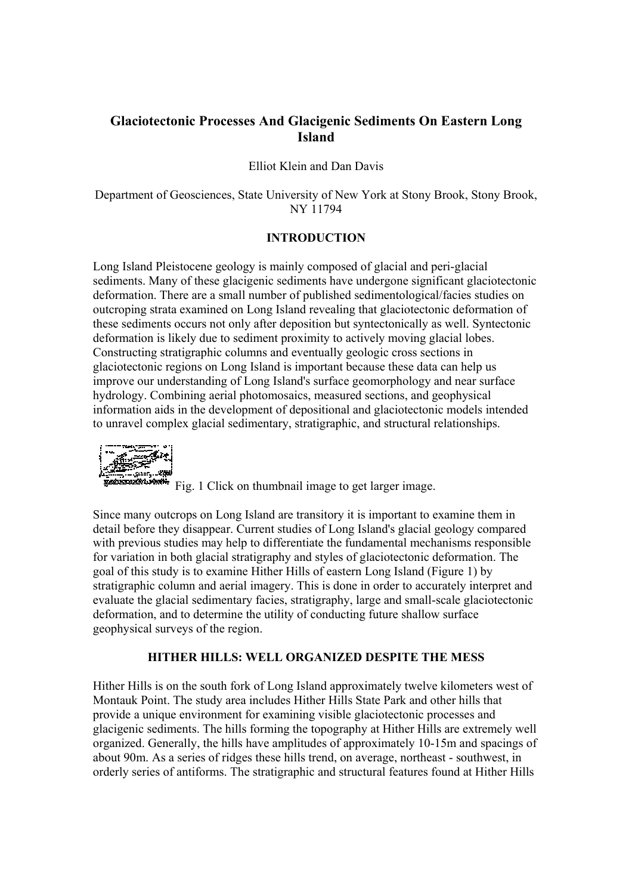# **Glaciotectonic Processes And Glacigenic Sediments On Eastern Long Island**

Elliot Klein and Dan Davis

Department of Geosciences, State University of New York at Stony Brook, Stony Brook, NY 11794

### **INTRODUCTION**

Long Island Pleistocene geology is mainly composed of glacial and peri-glacial sediments. Many of these glacigenic sediments have undergone significant glaciotectonic deformation. There are a small number of published sedimentological/facies studies on outcroping strata examined on Long Island revealing that glaciotectonic deformation of these sediments occurs not only after deposition but syntectonically as well. Syntectonic deformation is likely due to sediment proximity to actively moving glacial lobes. Constructing stratigraphic columns and eventually geologic cross sections in glaciotectonic regions on Long Island is important because these data can help us improve our understanding of Long Island's surface geomorphology and near surface hydrology. Combining aerial photomosaics, measured sections, and geophysical information aids in the development of depositional and glaciotectonic models intended to unravel complex glacial sedimentary, stratigraphic, and structural relationships.

Fig. 2006.<br>Fig. 1 Click on thumbnail image to get larger image.

Since many outcrops on Long Island are transitory it is important to examine them in detail before they disappear. Current studies of Long Island's glacial geology compared with previous studies may help to differentiate the fundamental mechanisms responsible for variation in both glacial stratigraphy and styles of glaciotectonic deformation. The goal of this study is to examine Hither Hills of eastern Long Island (Figure 1) by stratigraphic column and aerial imagery. This is done in order to accurately interpret and evaluate the glacial sedimentary facies, stratigraphy, large and small-scale glaciotectonic deformation, and to determine the utility of conducting future shallow surface geophysical surveys of the region.

#### **HITHER HILLS: WELL ORGANIZED DESPITE THE MESS**

Hither Hills is on the south fork of Long Island approximately twelve kilometers west of Montauk Point. The study area includes Hither Hills State Park and other hills that provide a unique environment for examining visible glaciotectonic processes and glacigenic sediments. The hills forming the topography at Hither Hills are extremely well organized. Generally, the hills have amplitudes of approximately 10-15m and spacings of about 90m. As a series of ridges these hills trend, on average, northeast - southwest, in orderly series of antiforms. The stratigraphic and structural features found at Hither Hills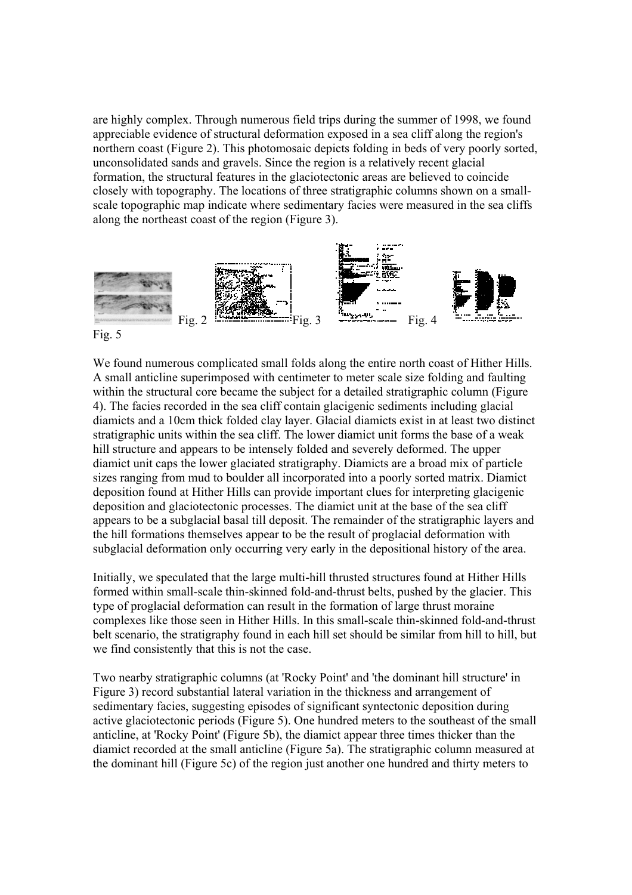are highly complex. Through numerous field trips during the summer of 1998, we found appreciable evidence of structural deformation exposed in a sea cliff along the region's northern coast (Figure 2). This photomosaic depicts folding in beds of very poorly sorted, unconsolidated sands and gravels. Since the region is a relatively recent glacial formation, the structural features in the glaciotectonic areas are believed to coincide closely with topography. The locations of three stratigraphic columns shown on a smallscale topographic map indicate where sedimentary facies were measured in the sea cliffs along the northeast coast of the region (Figure 3).



We found numerous complicated small folds along the entire north coast of Hither Hills. A small anticline superimposed with centimeter to meter scale size folding and faulting within the structural core became the subject for a detailed stratigraphic column (Figure) 4). The facies recorded in the sea cliff contain glacigenic sediments including glacial diamicts and a 10cm thick folded clay layer. Glacial diamicts exist in at least two distinct stratigraphic units within the sea cliff. The lower diamict unit forms the base of a weak hill structure and appears to be intensely folded and severely deformed. The upper diamict unit caps the lower glaciated stratigraphy. Diamicts are a broad mix of particle sizes ranging from mud to boulder all incorporated into a poorly sorted matrix. Diamict deposition found at Hither Hills can provide important clues for interpreting glacigenic deposition and glaciotectonic processes. The diamict unit at the base of the sea cliff appears to be a subglacial basal till deposit. The remainder of the stratigraphic layers and the hill formations themselves appear to be the result of proglacial deformation with subglacial deformation only occurring very early in the depositional history of the area.

Initially, we speculated that the large multi-hill thrusted structures found at Hither Hills formed within small-scale thin-skinned fold-and-thrust belts, pushed by the glacier. This type of proglacial deformation can result in the formation of large thrust moraine complexes like those seen in Hither Hills. In this small-scale thin-skinned fold-and-thrust belt scenario, the stratigraphy found in each hill set should be similar from hill to hill, but we find consistently that this is not the case.

Two nearby stratigraphic columns (at 'Rocky Point' and 'the dominant hill structure' in Figure 3) record substantial lateral variation in the thickness and arrangement of sedimentary facies, suggesting episodes of significant syntectonic deposition during active glaciotectonic periods (Figure 5). One hundred meters to the southeast of the small anticline, at 'Rocky Point' (Figure 5b), the diamict appear three times thicker than the diamict recorded at the small anticline (Figure 5a). The stratigraphic column measured at the dominant hill (Figure 5c) of the region just another one hundred and thirty meters to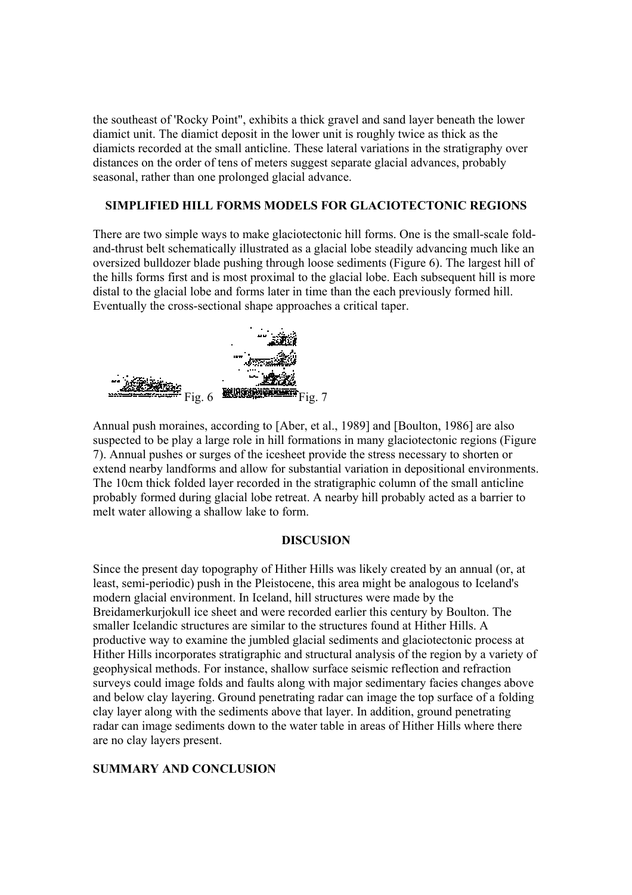the southeast of 'Rocky Point", exhibits a thick gravel and sand layer beneath the lower diamict unit. The diamict deposit in the lower unit is roughly twice as thick as the diamicts recorded at the small anticline. These lateral variations in the stratigraphy over distances on the order of tens of meters suggest separate glacial advances, probably seasonal, rather than one prolonged glacial advance.

## **SIMPLIFIED HILL FORMS MODELS FOR GLACIOTECTONIC REGIONS**

There are two simple ways to make glaciotectonic hill forms. One is the small-scale foldand-thrust belt schematically illustrated as a glacial lobe steadily advancing much like an oversized bulldozer blade pushing through loose sediments (Figure 6). The largest hill of the hills forms first and is most proximal to the glacial lobe. Each subsequent hill is more distal to the glacial lobe and forms later in time than the each previously formed hill. Eventually the cross-sectional shape approaches a critical taper.



Annual push moraines, according to [Aber, et al., 1989] and [Boulton, 1986] are also suspected to be play a large role in hill formations in many glaciotectonic regions (Figure 7). Annual pushes or surges of the icesheet provide the stress necessary to shorten or extend nearby landforms and allow for substantial variation in depositional environments. The 10cm thick folded layer recorded in the stratigraphic column of the small anticline probably formed during glacial lobe retreat. A nearby hill probably acted as a barrier to melt water allowing a shallow lake to form.

### **DISCUSION**

Since the present day topography of Hither Hills was likely created by an annual (or, at least, semi-periodic) push in the Pleistocene, this area might be analogous to Iceland's modern glacial environment. In Iceland, hill structures were made by the Breidamerkurjokull ice sheet and were recorded earlier this century by Boulton. The smaller Icelandic structures are similar to the structures found at Hither Hills. A productive way to examine the jumbled glacial sediments and glaciotectonic process at Hither Hills incorporates stratigraphic and structural analysis of the region by a variety of geophysical methods. For instance, shallow surface seismic reflection and refraction surveys could image folds and faults along with major sedimentary facies changes above and below clay layering. Ground penetrating radar can image the top surface of a folding clay layer along with the sediments above that layer. In addition, ground penetrating radar can image sediments down to the water table in areas of Hither Hills where there are no clay layers present.

### **SUMMARY AND CONCLUSION**